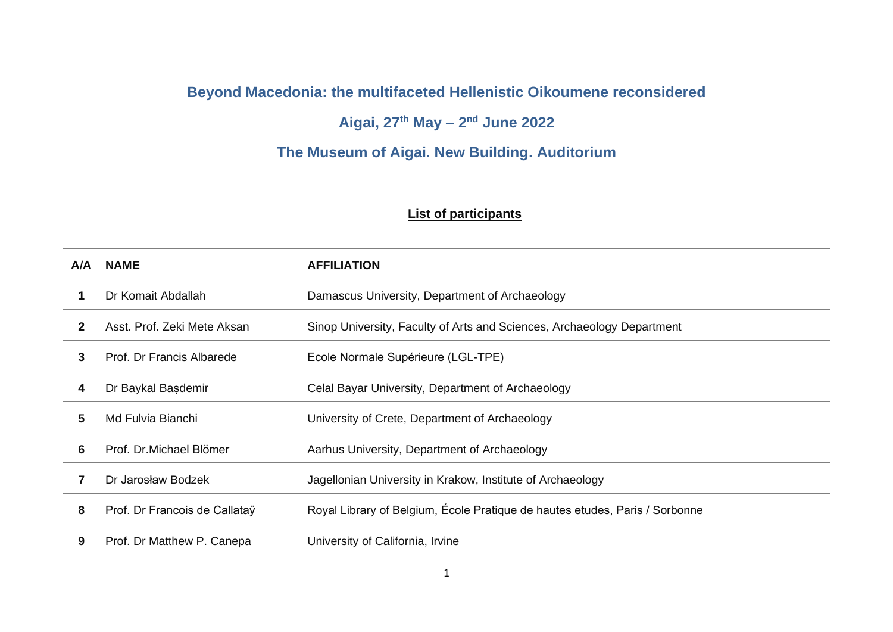## **Beyond Macedonia: the multifaceted Hellenistic Oikoumene reconsidered**

## **Aigai, 27th May – 2 nd June 2022**

## **The Museum of Aigai. New Building. Auditorium**

## **List of participants**

| A/A | <b>NAME</b>                   | <b>AFFILIATION</b>                                                          |
|-----|-------------------------------|-----------------------------------------------------------------------------|
|     | Dr Komait Abdallah            | Damascus University, Department of Archaeology                              |
| 2   | Asst. Prof. Zeki Mete Aksan   | Sinop University, Faculty of Arts and Sciences, Archaeology Department      |
| 3   | Prof. Dr Francis Albarede     | Ecole Normale Supérieure (LGL-TPE)                                          |
| 4   | Dr Baykal Başdemir            | Celal Bayar University, Department of Archaeology                           |
| 5   | Md Fulvia Bianchi             | University of Crete, Department of Archaeology                              |
| 6   | Prof. Dr. Michael Blömer      | Aarhus University, Department of Archaeology                                |
| 7   | Dr Jarosław Bodzek            | Jagellonian University in Krakow, Institute of Archaeology                  |
| 8   | Prof. Dr Francois de Callatay | Royal Library of Belgium, École Pratique de hautes etudes, Paris / Sorbonne |
| 9   | Prof. Dr Matthew P. Canepa    | University of California, Irvine                                            |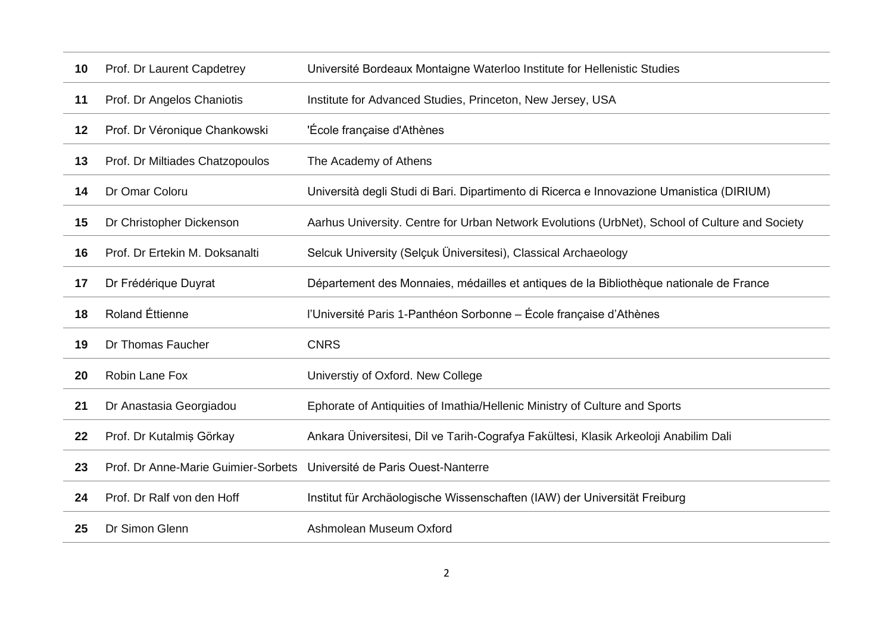| 10 | Prof. Dr Laurent Capdetrey          | Université Bordeaux Montaigne Waterloo Institute for Hellenistic Studies                       |
|----|-------------------------------------|------------------------------------------------------------------------------------------------|
| 11 | Prof. Dr Angelos Chaniotis          | Institute for Advanced Studies, Princeton, New Jersey, USA                                     |
| 12 | Prof. Dr Véronique Chankowski       | 'École française d'Athènes                                                                     |
| 13 | Prof. Dr Miltiades Chatzopoulos     | The Academy of Athens                                                                          |
| 14 | Dr Omar Coloru                      | Università degli Studi di Bari. Dipartimento di Ricerca e Innovazione Umanistica (DIRIUM)      |
| 15 | Dr Christopher Dickenson            | Aarhus University. Centre for Urban Network Evolutions (UrbNet), School of Culture and Society |
| 16 | Prof. Dr Ertekin M. Doksanalti      | Selcuk University (Selçuk Üniversitesi), Classical Archaeology                                 |
| 17 | Dr Frédérique Duyrat                | Département des Monnaies, médailles et antiques de la Bibliothèque nationale de France         |
| 18 | <b>Roland Éttienne</b>              | l'Université Paris 1-Panthéon Sorbonne – École française d'Athènes                             |
| 19 | Dr Thomas Faucher                   | <b>CNRS</b>                                                                                    |
| 20 | Robin Lane Fox                      | Universtiy of Oxford. New College                                                              |
| 21 | Dr Anastasia Georgiadou             | Ephorate of Antiquities of Imathia/Hellenic Ministry of Culture and Sports                     |
| 22 | Prof. Dr Kutalmiş Görkay            | Ankara Üniversitesi, Dil ve Tarih-Cografya Fakültesi, Klasik Arkeoloji Anabilim Dali           |
| 23 | Prof. Dr Anne-Marie Guimier-Sorbets | Université de Paris Ouest-Nanterre                                                             |
| 24 | Prof. Dr Ralf von den Hoff          | Institut für Archäologische Wissenschaften (IAW) der Universität Freiburg                      |
| 25 | Dr Simon Glenn                      | Ashmolean Museum Oxford                                                                        |
|    |                                     |                                                                                                |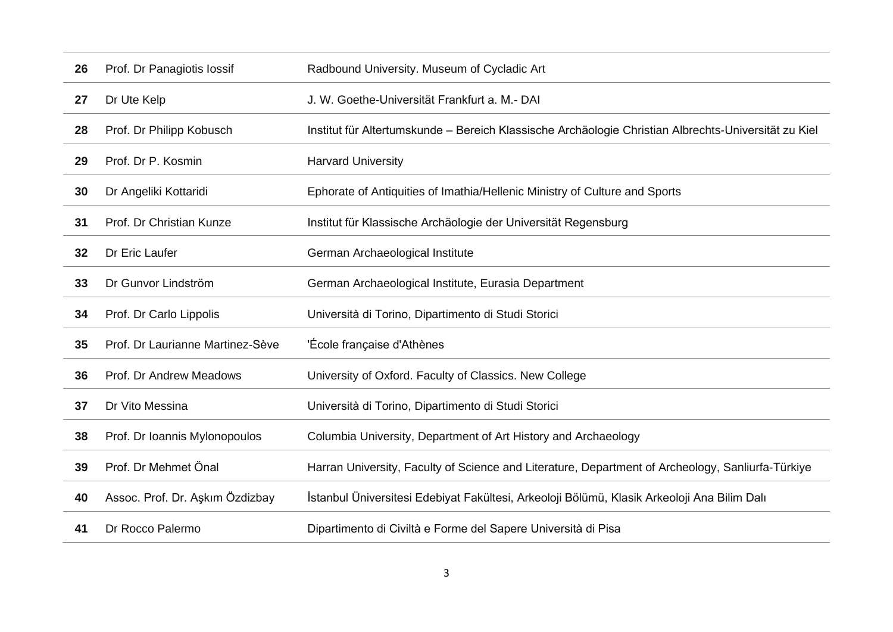| 26 | Prof. Dr Panagiotis lossif       | Radbound University. Museum of Cycladic Art                                                          |
|----|----------------------------------|------------------------------------------------------------------------------------------------------|
| 27 | Dr Ute Kelp                      | J. W. Goethe-Universität Frankfurt a. M.- DAI                                                        |
| 28 | Prof. Dr Philipp Kobusch         | Institut für Altertumskunde – Bereich Klassische Archäologie Christian Albrechts-Universität zu Kiel |
| 29 | Prof. Dr P. Kosmin               | <b>Harvard University</b>                                                                            |
| 30 | Dr Angeliki Kottaridi            | Ephorate of Antiquities of Imathia/Hellenic Ministry of Culture and Sports                           |
| 31 | Prof. Dr Christian Kunze         | Institut für Klassische Archäologie der Universität Regensburg                                       |
| 32 | Dr Eric Laufer                   | German Archaeological Institute                                                                      |
| 33 | Dr Gunvor Lindström              | German Archaeological Institute, Eurasia Department                                                  |
| 34 | Prof. Dr Carlo Lippolis          | Università di Torino, Dipartimento di Studi Storici                                                  |
| 35 | Prof. Dr Laurianne Martinez-Sève | 'École française d'Athènes                                                                           |
| 36 | Prof. Dr Andrew Meadows          | University of Oxford. Faculty of Classics. New College                                               |
| 37 | Dr Vito Messina                  | Università di Torino, Dipartimento di Studi Storici                                                  |
| 38 | Prof. Dr Ioannis Mylonopoulos    | Columbia University, Department of Art History and Archaeology                                       |
| 39 | Prof. Dr Mehmet Önal             | Harran University, Faculty of Science and Literature, Department of Archeology, Sanliurfa-Türkiye    |
| 40 | Assoc. Prof. Dr. Aşkım Özdizbay  | İstanbul Üniversitesi Edebiyat Fakültesi, Arkeoloji Bölümü, Klasik Arkeoloji Ana Bilim Dalı          |
| 41 | Dr Rocco Palermo                 | Dipartimento di Civiltà e Forme del Sapere Università di Pisa                                        |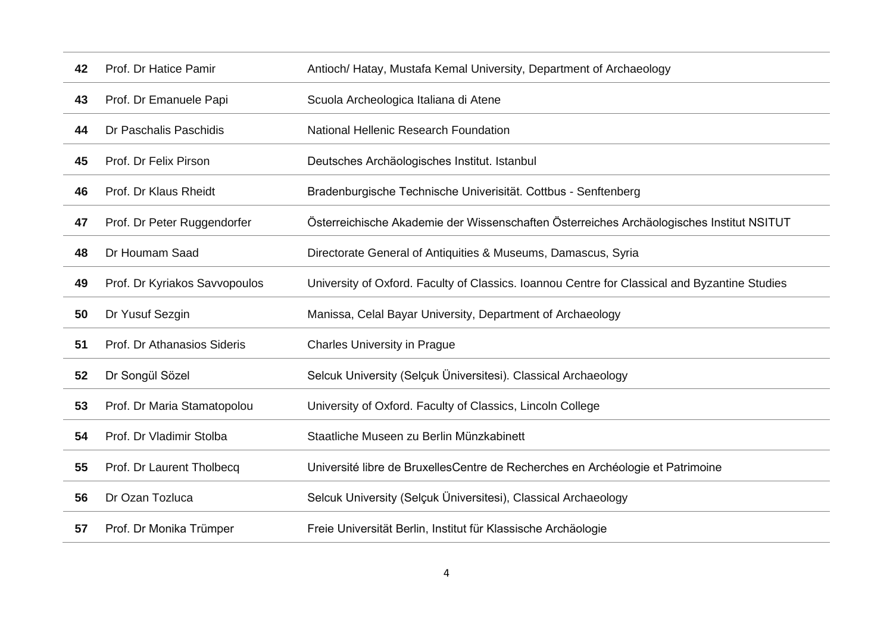| 42 | Prof. Dr Hatice Pamir         | Antioch/ Hatay, Mustafa Kemal University, Department of Archaeology                           |
|----|-------------------------------|-----------------------------------------------------------------------------------------------|
| 43 | Prof. Dr Emanuele Papi        | Scuola Archeologica Italiana di Atene                                                         |
| 44 | Dr Paschalis Paschidis        | National Hellenic Research Foundation                                                         |
| 45 | Prof. Dr Felix Pirson         | Deutsches Archäologisches Institut. Istanbul                                                  |
| 46 | Prof. Dr Klaus Rheidt         | Bradenburgische Technische Univerisität. Cottbus - Senftenberg                                |
| 47 | Prof. Dr Peter Ruggendorfer   | Österreichische Akademie der Wissenschaften Österreiches Archäologisches Institut NSITUT      |
| 48 | Dr Houmam Saad                | Directorate General of Antiquities & Museums, Damascus, Syria                                 |
| 49 | Prof. Dr Kyriakos Savvopoulos | University of Oxford. Faculty of Classics. Ioannou Centre for Classical and Byzantine Studies |
| 50 | Dr Yusuf Sezgin               | Manissa, Celal Bayar University, Department of Archaeology                                    |
| 51 | Prof. Dr Athanasios Sideris   | <b>Charles University in Prague</b>                                                           |
| 52 | Dr Songül Sözel               | Selcuk University (Selçuk Üniversitesi). Classical Archaeology                                |
| 53 | Prof. Dr Maria Stamatopolou   | University of Oxford. Faculty of Classics, Lincoln College                                    |
| 54 | Prof. Dr Vladimir Stolba      | Staatliche Museen zu Berlin Münzkabinett                                                      |
| 55 | Prof. Dr Laurent Tholbecq     | Université libre de BruxellesCentre de Recherches en Archéologie et Patrimoine                |
| 56 | Dr Ozan Tozluca               | Selcuk University (Selçuk Üniversitesi), Classical Archaeology                                |
| 57 | Prof. Dr Monika Trümper       | Freie Universität Berlin, Institut für Klassische Archäologie                                 |